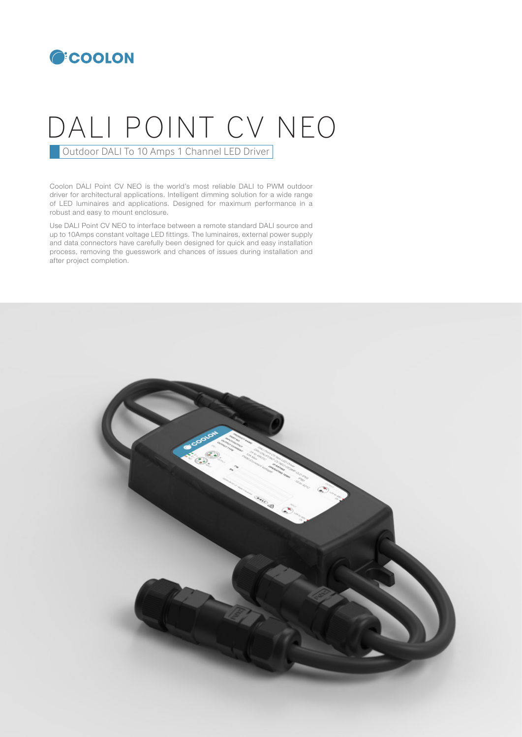

# DALI POINT CV NEO

**Outdoor DALI To 10 Amps 1 Channel LED Driver** 

Coolon DALI Point CV NEO is the world's most reliable DALI to PWM outdoor driver for architectural applications. Intelligent dimming solution for a wide range of LED luminaires and applications. Designed for maximum performance in a robust and easy to mount enclosure.

Use DALI Point CV NEO to interface between a remote standard DALI source and up to 10Amps constant voltage LED fittings. The luminaires, external power supply and data connectors have carefully been designed for quick and easy installation process, removing the guesswork and chances of issues during installation and after project completion.

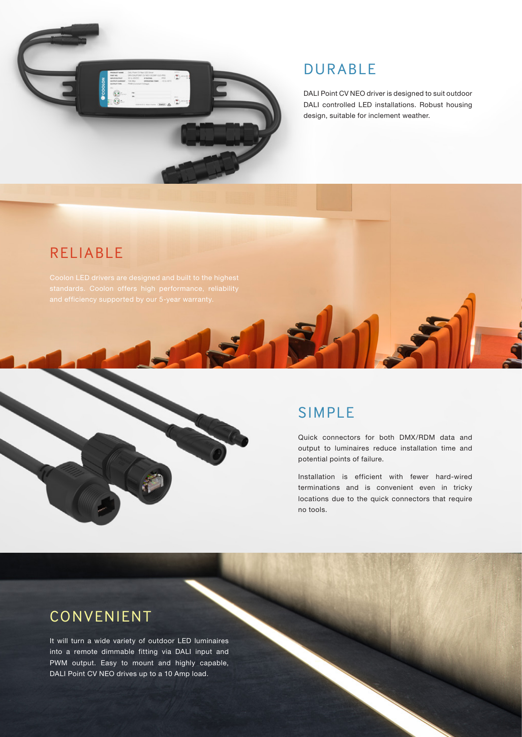

## DURABLE

DALI Point CV NEO driver is designed to suit outdoor DALI controlled LED installations. Robust housing design, suitable for inclement weather.

## RELIABLE

Coolon LED drivers are designed and built to the highest

## SIMPLE

Quick connectors for both DMX/RDM data and output to luminaires reduce installation time and potential points of failure.

Installation is efficient with fewer hard-wired terminations and is convenient even in tricky locations due to the quick connectors that require no tools.

## CONVENIENT

It will turn a wide variety of outdoor LED luminaires into a remote dimmable fitting via DALI input and PWM output. Easy to mount and highly capable, DALI Point CV NEO drives up to a 10 Amp load.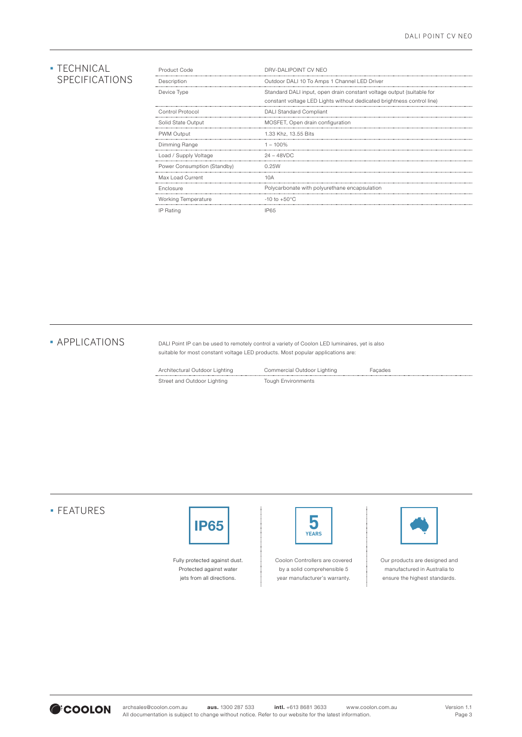#### **· TECHNICAL** SPECIFICATIONS

| Product Code                | DRV-DALIPOINT CV NEO                                                   |  |
|-----------------------------|------------------------------------------------------------------------|--|
| Description                 | Outdoor DALI 10 To Amps 1 Channel LED Driver                           |  |
| Device Type                 | Standard DALI input, open drain constant voltage output (suitable for  |  |
|                             | constant voltage LED Lights without dedicated brightness control line) |  |
| Control Protocol            | <b>DALI Standard Compliant</b>                                         |  |
| Solid State Output          | MOSFET, Open drain configuration                                       |  |
| PWM Output                  | 1.33 Khz. 13.55 Bits                                                   |  |
| Dimming Range               | $1 - 100\%$                                                            |  |
| Load / Supply Voltage       | $24 - 48$ VDC                                                          |  |
| Power Consumption (Standby) | 0.25W                                                                  |  |
| Max Load Current            | 10A                                                                    |  |
| Enclosure                   | Polycarbonate with polyurethane encapsulation                          |  |
| Working Temperature         | $-10$ to $+50^{\circ}$ C                                               |  |
| IP Rating                   | IP65                                                                   |  |

**· APPLICATIONS** 

DALI Point IP can be used to remotely control a variety of Coolon LED luminaires, yet is also suitable for most constant voltage LED products. Most popular applications are:

| Architectural Outdoor Lighting | Commercial Outdoor Lighting | Facades |
|--------------------------------|-----------------------------|---------|
| Street and Outdoor Lighting    | <b>Tough Environments</b>   |         |

#### ▪ FEATURES



Fully protected against dust. Protected against water jets from all directions.

| <b>YEARS</b> |
|--------------|
|--------------|

Coolon Controllers are covered by a solid comprehensible 5 year manufacturer's warranty.



Our products are designed and manufactured in Australia to ensure the highest standards.

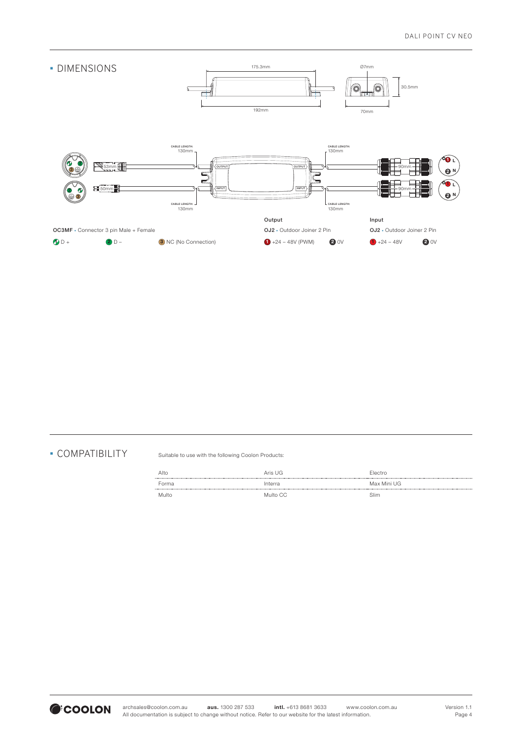

#### ▪ COMPATIBILITY

Suitable to use with the following Coolon Products:

| Alto  | Aris UG  | Electro     |
|-------|----------|-------------|
| Forma | Interra  | Max Mini UG |
| Multo | Multo CC | Slim        |

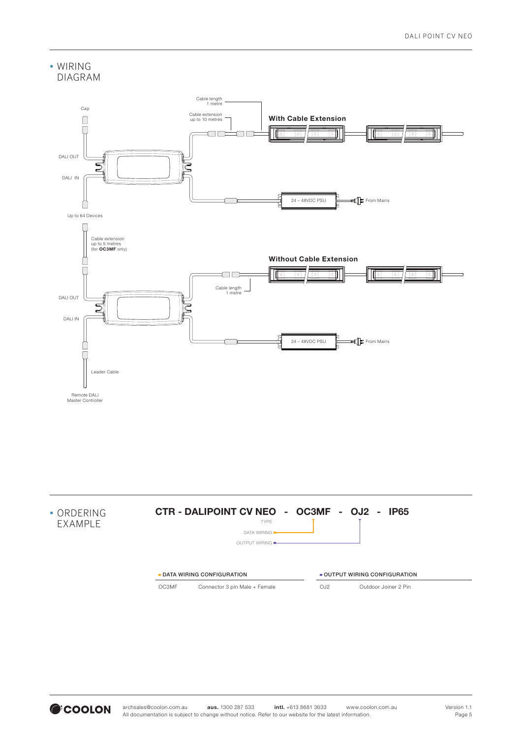